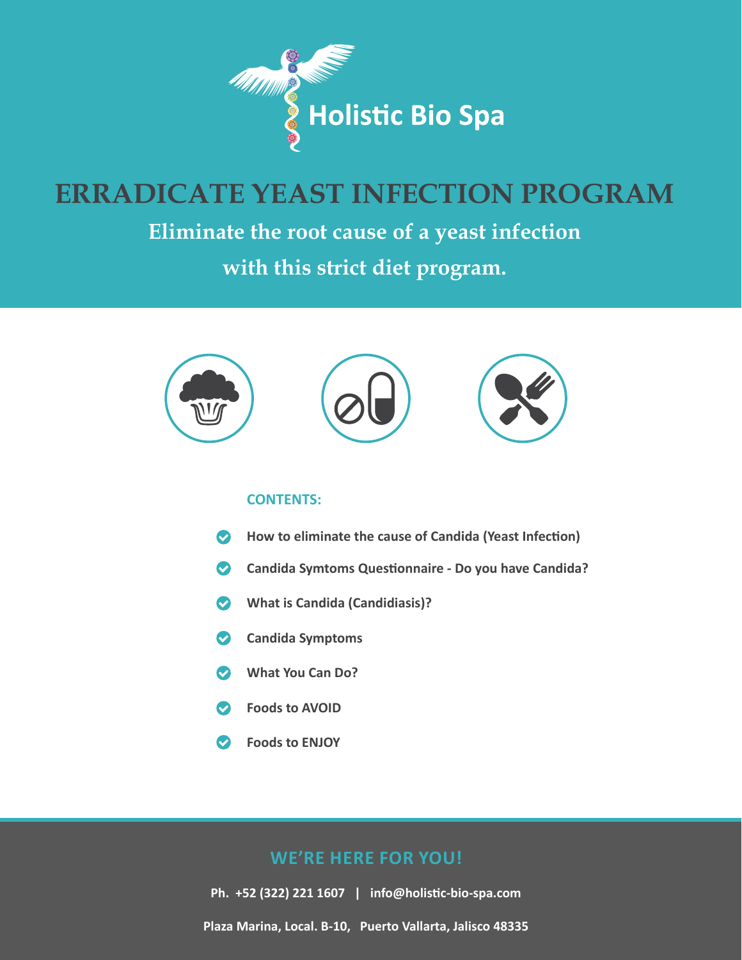

# **ERRADICATE YEAST INFECTION PROGRAM**

**Eliminate the root cause of a yeast infection** 

**with this strict diet program.**



#### **CONTENTS:**

- How to eliminate the cause of Candida (Yeast Infection)  $\bullet$
- $\bullet$ **Candida Symtoms Questonnaire - Do you have Candida?**
- **What is Candida (Candidiasis)?**  $\bullet$
- **Candida Symptoms**  $\bullet$
- **What You Can Do?**  $\bullet$
- **Foods to AVOID**
- $\bullet$ **Foods to ENJOY**

#### **WE'RE HERE FOR YOU!**

**Ph. +52 (322) 221 1607 | [info@holistc-bio-spa.com](mailto:info%40holistic-bio-spa.com?subject=) Plaza Marina, Local. B-10, Puerto Vallarta, Jalisco 48335**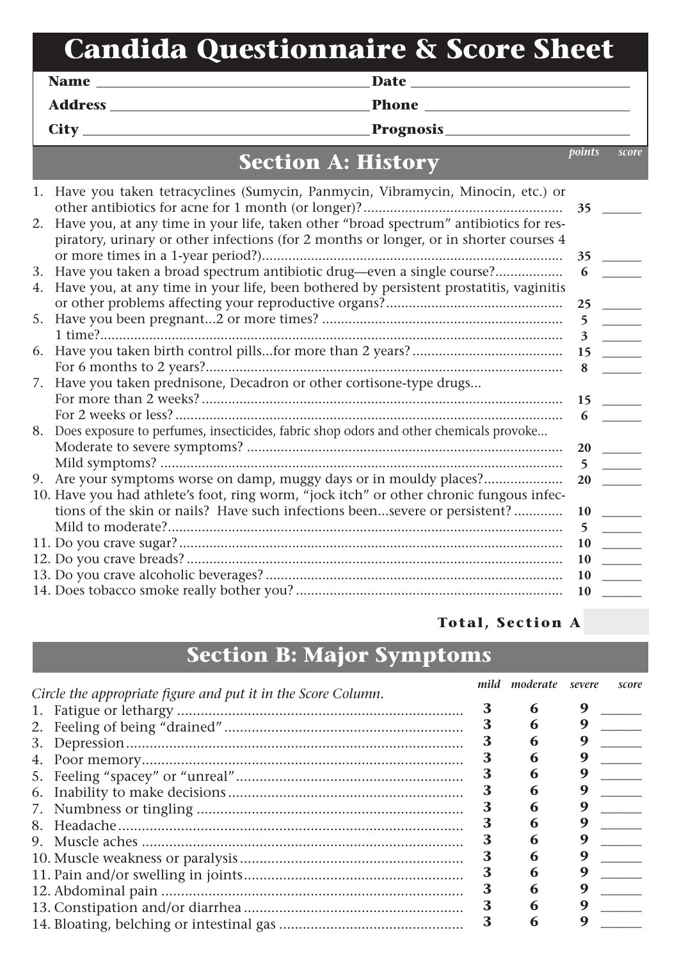# **Candida Questionnaire & Score Sheet**

**Address \_\_\_\_\_\_\_\_\_\_\_\_\_\_\_\_\_\_\_\_\_\_\_\_\_\_\_\_\_\_\_\_\_\_\_\_\_\_Phone \_\_\_\_\_\_\_\_\_\_\_\_\_\_\_\_\_\_\_\_\_\_\_\_\_\_\_\_\_\_**

**Name \_\_\_\_\_\_\_\_\_\_\_\_\_\_\_\_\_\_\_\_\_\_\_\_\_\_\_\_\_\_\_\_\_\_\_\_\_\_\_\_Date \_\_\_\_\_\_\_\_\_\_\_\_\_\_\_\_\_\_\_\_\_\_\_\_\_\_\_\_\_\_\_\_**

**City \_\_\_\_\_\_\_\_\_\_\_\_\_\_\_\_\_\_\_\_\_\_\_\_\_\_\_\_\_\_\_\_\_\_\_\_\_\_\_\_\_\_Prognosis\_\_\_\_\_\_\_\_\_\_\_\_\_\_\_\_\_\_\_\_\_\_\_\_\_\_\_**

**points score**

## **Section A: History**

|    | 1. Have you taken tetracyclines (Sumycin, Panmycin, Vibramycin, Minocin, etc.) or                                                                                               | 35           |                            |
|----|---------------------------------------------------------------------------------------------------------------------------------------------------------------------------------|--------------|----------------------------|
| 2. | Have you, at any time in your life, taken other "broad spectrum" antibiotics for res-<br>piratory, urinary or other infections (for 2 months or longer, or in shorter courses 4 |              |                            |
|    |                                                                                                                                                                                 | 35           |                            |
| 3. | Have you taken a broad spectrum antibiotic drug—even a single course?                                                                                                           | 6            |                            |
| 4. | Have you, at any time in your life, been bothered by persistent prostatitis, vaginitis                                                                                          |              |                            |
|    |                                                                                                                                                                                 | 25           |                            |
| 5. |                                                                                                                                                                                 | 5            |                            |
|    |                                                                                                                                                                                 | $\mathbf{3}$ | $\mathcal{L}^{\text{max}}$ |
| 6. |                                                                                                                                                                                 | 15           |                            |
|    |                                                                                                                                                                                 | 8            |                            |
| 7. | Have you taken prednisone, Decadron or other cortisone-type drugs                                                                                                               |              |                            |
|    |                                                                                                                                                                                 | 15           |                            |
|    |                                                                                                                                                                                 | 6            |                            |
| 8. | Does exposure to perfumes, insecticides, fabric shop odors and other chemicals provoke                                                                                          |              |                            |
|    |                                                                                                                                                                                 | <b>20</b>    |                            |
|    |                                                                                                                                                                                 | 5            |                            |
| 9. |                                                                                                                                                                                 | 20           |                            |
|    | 10. Have you had athlete's foot, ring worm, "jock itch" or other chronic fungous infec-                                                                                         |              |                            |
|    | tions of the skin or nails? Have such infections beensevere or persistent?                                                                                                      | 10           |                            |
|    |                                                                                                                                                                                 |              |                            |
|    |                                                                                                                                                                                 | 10           |                            |
|    |                                                                                                                                                                                 | <b>10</b>    |                            |
|    |                                                                                                                                                                                 | <b>10</b>    |                            |
|    |                                                                                                                                                                                 | 10           |                            |

#### **Total, Section A \_\_**

### **Section B: Major Symptoms**

| Circle the appropriate figure and put it in the Score Column. |   | mild moderate | severe | score |
|---------------------------------------------------------------|---|---------------|--------|-------|
|                                                               | 3 | 6             | 9      |       |
| 2.                                                            |   | 6             | g      |       |
| 3.                                                            |   |               |        |       |
| 4.                                                            |   | h             | g      |       |
| 5.                                                            |   | 6             | g      |       |
| 6.                                                            | 3 |               |        |       |
|                                                               | З | h             | g      |       |
| 8.                                                            |   | h             | g      |       |
|                                                               |   | h             |        |       |
|                                                               | 3 | 6             | g      |       |
|                                                               | 3 | n             |        |       |
|                                                               | З | h             |        |       |
|                                                               |   |               | Q      |       |
|                                                               | 3 | 6             | g      |       |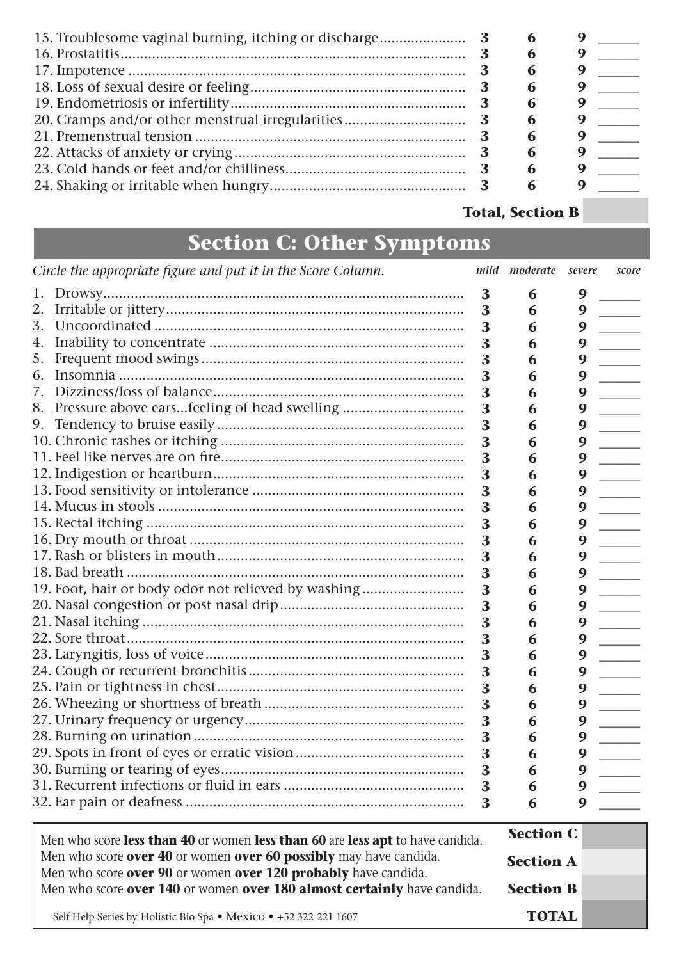### **Total, Section B**

# **Section C: Other Symptoms**

|                                                                   | Circle the appropriate figure and put it in the Score Column.                  |   | mild moderate severe |                  | score |
|-------------------------------------------------------------------|--------------------------------------------------------------------------------|---|----------------------|------------------|-------|
| 1.                                                                |                                                                                | 3 | 6                    |                  |       |
| 2.                                                                |                                                                                | 3 | 6                    | 9                |       |
| 3.                                                                |                                                                                | 3 | 6                    | 9                |       |
| 4.                                                                |                                                                                | 3 | 6                    | 9                |       |
| 5.                                                                |                                                                                | 3 | 6                    | 9                |       |
| 6.                                                                |                                                                                | 3 | 6                    | 9                |       |
| 7.                                                                |                                                                                | 3 | 6                    | 9                |       |
| 8.                                                                | Pressure above earsfeeling of head swelling                                    | 3 | 6                    | 9                |       |
| 9.                                                                |                                                                                | 3 | 6                    | 9                |       |
|                                                                   |                                                                                | 3 | 6                    | 9                |       |
|                                                                   |                                                                                | 3 | 6                    | 9                |       |
|                                                                   |                                                                                | 3 | 6                    | 9                |       |
|                                                                   |                                                                                | 3 | 6                    | 9                |       |
|                                                                   |                                                                                | 3 | 6                    | 9                |       |
|                                                                   |                                                                                | 3 | 6                    | 9                |       |
|                                                                   |                                                                                | 3 | 6                    | 9                |       |
|                                                                   |                                                                                | 3 | 6                    | 9                |       |
|                                                                   |                                                                                | 3 | 6                    | 9                |       |
|                                                                   | 19. Foot, hair or body odor not relieved by washing                            | 3 | 6                    | 9                |       |
|                                                                   |                                                                                | 3 | 6                    | 9                |       |
|                                                                   |                                                                                | 3 | 6                    | 9                |       |
|                                                                   |                                                                                | 3 | 6                    | 9                |       |
|                                                                   |                                                                                | 3 | 6                    | 9                |       |
|                                                                   |                                                                                | 3 | 6                    | 9                |       |
|                                                                   |                                                                                | 3 | 6                    | 9                |       |
|                                                                   |                                                                                | 3 | 6                    | 9                |       |
|                                                                   |                                                                                | 3 | 6                    | 9                |       |
|                                                                   |                                                                                | 3 | 6                    | 9                |       |
|                                                                   |                                                                                | 3 | 6                    | 9                |       |
|                                                                   |                                                                                | 3 | 6                    |                  |       |
|                                                                   |                                                                                | 3 | 6                    | 9                |       |
|                                                                   |                                                                                | 3 | 6                    | 9                |       |
|                                                                   | Men who score less than 40 or women less than 60 are less apt to have candida. |   |                      | <b>Section C</b> |       |
| Men who score over 40 or women over 60 possibly may have candida. |                                                                                |   |                      |                  |       |
| Men who score over 90 or women over 120 probably have candida.    |                                                                                |   | <b>Section A</b>     |                  |       |
|                                                                   | Men who score over 140 or women over 180 almost certainly have candida.        |   | <b>Section B</b>     |                  |       |
|                                                                   | Self Help Series by Holistic Bio Spa · Mexico · +52 322 221 1607               |   | <b>TOTAL</b>         |                  |       |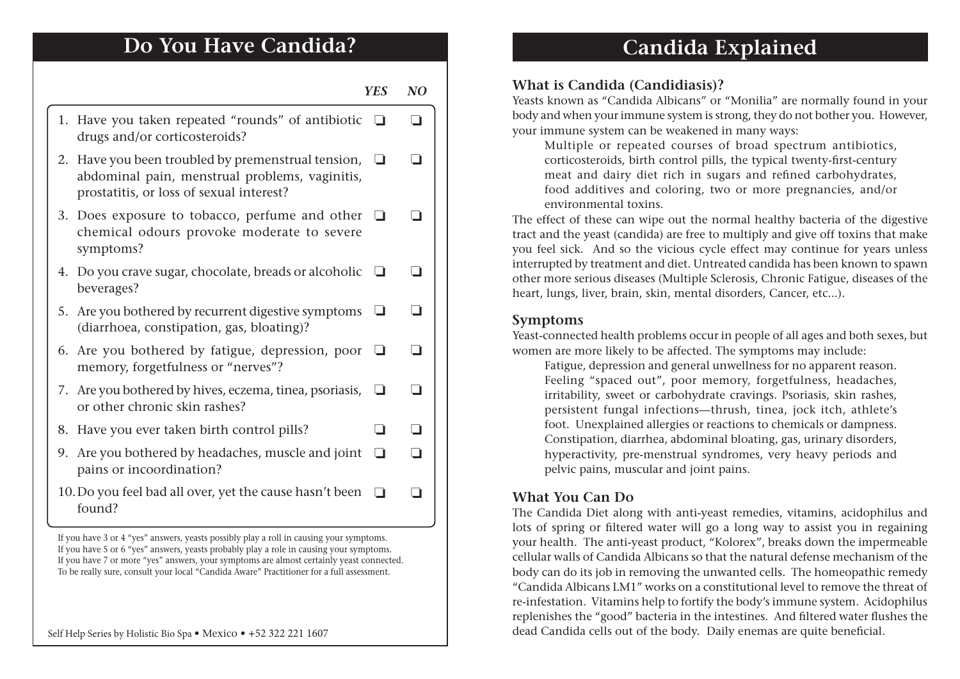### **Do You Have Candida?**

#### **YES NO**

- 1. Have you taken repeated "rounds" of antibiotic □ □ drugs and/or corticosteroids?
- 2. Have you been troubled by premenstrual tension,  $\Box$ abdominal pain, menstrual problems, vaginitis, prostatitis, or loss of sexual interest?
- 3. Does exposure to tobacco, perfume and other  $\Box$   $\Box$ chemical odours provoke moderate to severe symptoms?
- 4. Do you crave sugar, chocolate, breads or alcoholic  $\Box$   $\Box$ beverages?
- 5. Are you bothered by recurrent digestive symptoms  $\Box$   $\Box$ (diarrhoea, constipation, gas, bloating)?
- 6. Are you bothered by fatigue, depression, poor  $\Box$   $\Box$ memory, forgetfulness or "nerves"?
- 7. Are you bothered by hives, eczema, tinea, psoriasis,  $\Box$   $\Box$ or other chronic skin rashes?
- ❏ ❏ 8. Have you ever taken birth control pills?
- 9. Are you bothered by headaches, muscle and joint  $\Box$   $\Box$ pains or incoordination?
- 10. Do you feel bad all over, yet the cause hasn't been  $\Box$ found?

If you have 3 or 4 "yes" answers, yeasts possibly play a roll in causing your symptoms. If you have 5 or 6 "yes" answers, yeasts probably play a role in causing your symptoms. If you have 7 or more "yes" answers, your symptoms are almost certainly yeast connected. To be really sure, consult your local "Candida Aware" Practitioner for a full assessment.

### **Candida Explained**

#### **What is Candida (Candidiasis)?**

Yeasts known as "Candida Albicans" or "Monilia" are normally found in your body and when your immune system is strong, they do not bother you. However, your immune system can be weakened in many ways:

Multiple or repeated courses of broad spectrum antibiotics, corticosteroids, birth control pills, the typical twenty-frst-century meat and dairy diet rich in sugars and refned carbohydrates, food additives and coloring, two or more pregnancies, and/or environmental toxins.

The effect of these can wipe out the normal healthy bacteria of the digestive tract and the yeast (candida) are free to multiply and give off toxins that make you feel sick. And so the vicious cycle effect may continue for years unless interrupted by treatment and diet. Untreated candida has been known to spawn other more serious diseases (Multiple Sclerosis, Chronic Fatigue, diseases of the heart, lungs, liver, brain, skin, mental disorders, Cancer, etc...).

#### **Symptoms**

Yeast-connected health problems occur in people of all ages and both sexes, but women are more likely to be affected. The symptoms may include:

Fatigue, depression and general unwellness for no apparent reason. Feeling "spaced out", poor memory, forgetfulness, headaches, irritability, sweet or carbohydrate cravings. Psoriasis, skin rashes, persistent fungal infections—thrush, tinea, jock itch, athlete's foot. Unexplained allergies or reactions to chemicals or dampness. Constipation, diarrhea, abdominal bloating, gas, urinary disorders, hyperactivity, pre-menstrual syndromes, very heavy periods and pelvic pains, muscular and joint pains.

#### **What You Can Do**

The Candida Diet along with anti-yeast remedies, vitamins, acidophilus and lots of spring or fltered water will go a long way to assist you in regaining your health. The anti-yeast product, "Kolorex", breaks down the impermeable cellular walls of Candida Albicans so that the natural defense mechanism of the body can do its job in removing the unwanted cells. The homeopathic remedy "Candida Albicans LM1" works on a constitutional level to remove the threat of re-infestation. Vitamins help to fortify the body's immune system. Acidophilus replenishes the "good" bacteria in the intestines. And fltered water fushes the Self Help Series by Holistic Bio Spa • Mexico • +52 322 221 1607 dead Candida cells out of the body. Daily enemas are quite beneficial.